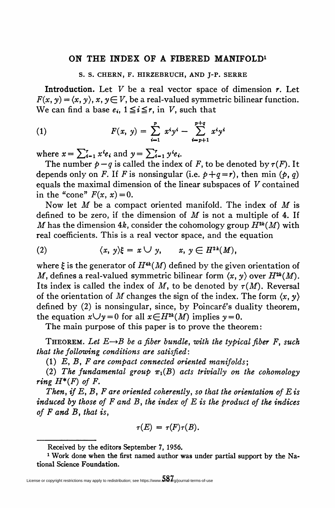## ON THE INDEX OF A FIBERED MANIFOLD<sup>1</sup>

## S. S. CHERN, F. HIRZEBRUCH, AND J-P. SERRE

**Introduction.** Let  $V$  be a real vector space of dimension  $r$ . Let  $F(x, y) = \langle x, y \rangle, x, y \in V$ , be a real-valued symmetric bilinear function. We can find a base  $e_i$ ,  $1 \leq i \leq r$ , in V, such that

(1) 
$$
F(x, y) = \sum_{i=1}^{p} x^{i}y^{i} - \sum_{i=p+1}^{p+q} x^{i}y^{i}
$$

where  $x = \sum_{i=1}^r x^i e_i$  and  $y = \sum_{i=1}^r y^i e_i$ .

The number  $p - q$  is called the index of F, to be denoted by  $\tau(F)$ . It depends only on F. If F is nonsingular (i.e.  $p+q=r$ ), then min (p, q) equals the maximal dimension of the linear subspaces of V contained in the "cone"  $F(x, x) = 0$ .

Now let  $M$  be a compact oriented manifold. The index of  $M$  is defined to be zero, if the dimension of  $M$  is not a multiple of 4. If M has the dimension 4k, consider the cohomology group  $H^{2k}(M)$  with real coefficients. This is a real vector space, and the equation

(2) 
$$
\langle x, y \rangle \xi = x \cup y, \qquad x, y \in H^{2k}(M),
$$

where  $\xi$  is the generator of  $H^{4k}(M)$  defined by the given orientation of M, defines a real-valued symmetric bilinear form  $\langle x, y \rangle$  over  $H^{2k}(M)$ . Its index is called the index of M, to be denoted by  $\tau(M)$ . Reversal of the orientation of M changes the sign of the index. The form  $\langle x, y \rangle$ defined by (2) is nonsingular, since, by Poincaré's duality theorem. the equation  $x \cup y = 0$  for all  $x \in H^{2k}(M)$  implies  $y = 0$ .

The main purpose of this paper is to prove the theorem:

THEOREM. Let  $E\rightarrow B$  be a fiber bundle, with the typical fiber F, such that the following conditions are satisfied:

 $(1)$  E, B, F are compact connected oriented manifolds;

(2) The fundamental group  $\pi_1(B)$  acts trivially on the cohomology ring  $H^*(F)$  of F.

Then, if E, B, F are oriented coherently, so that the orientation of E is induced by those of  $F$  and  $B$ , the index of  $E$  is the product of the indices of  $F$  and  $B$ , that is,

$$
\tau(E)=\tau(F)\tau(B).
$$

Received by the editors September 7, 1956.

<sup>1</sup> Work done when the first named author was under partial support by the National Science Foundation.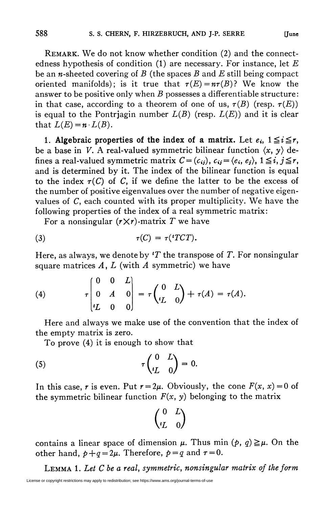REMARK. We do not know whether condition (2) and the connectedness hypothesis of condition  $(1)$  are necessary. For instance, let E be an *n*-sheeted covering of B (the spaces B and E still being compact oriented manifolds); is it true that  $\tau(E) = n\tau(B)$ ? We know the answer to be positive only when  $B$  possesses a differentiable structure: in that case, according to a theorem of one of us,  $\tau(B)$  (resp.  $\tau(E)$ ) is equal to the Pontriagin number  $L(B)$  (resp.  $L(E)$ ) and it is clear that  $L(E)=n \cdot L(B)$ .

1. Algebraic properties of the index of a matrix. Let  $e_i$ ,  $1 \leq i \leq r$ , be a base in V. A real-valued symmetric bilinear function  $\langle x, y \rangle$  defines a real-valued symmetric matrix  $C = (c_{ij}), c_{ij} = \langle e_i, e_j \rangle, 1 \leq i, j \leq r,$ and is determined by it. The index of the bilinear function is equal to the index  $\tau(C)$  of C, if we define the latter to be the excess of the number of positive eigenvalues over the number of negative eigenvalues of  $C$ , each counted with its proper multiplicity. We have the following properties of the index of a real symmetric matrix:

For a nonsingular  $(r \times r)$ -matrix T we have

$$
\tau(C) = \tau({}^{t}TCT).
$$

Here, as always, we denote by  $T$  the transpose of T. For nonsingular square matrices  $A, L$  (with  $A$  symmetric) we have

(4) 
$$
\tau \begin{pmatrix} 0 & 0 & L \\ 0 & A & 0 \\ tL & 0 & 0 \end{pmatrix} = \tau \begin{pmatrix} 0 & L \\ tL & 0 \end{pmatrix} + \tau(A) = \tau(A).
$$

Here and always we make use of the convention that the index of the empty matrix is zero.

To prove (4) it is enough to show that

(5) 
$$
\tau \begin{pmatrix} 0 & L \\ iL & 0 \end{pmatrix} = 0.
$$

In this case, r is even. Put  $r = 2\mu$ . Obviously, the cone  $F(x, x) = 0$  of the symmetric bilinear function  $F(x, y)$  belonging to the matrix

$$
\begin{pmatrix} 0 & L \\ {}^t\!L & 0 \end{pmatrix}
$$

contains a linear space of dimension  $\mu$ . Thus min  $(p, q) \geq \mu$ . On the other hand,  $p+q=2\mu$ . Therefore,  $p=q$  and  $\tau=0$ .

Lemma 1. Let C be a real, symmetric, nonsingular matrix of the form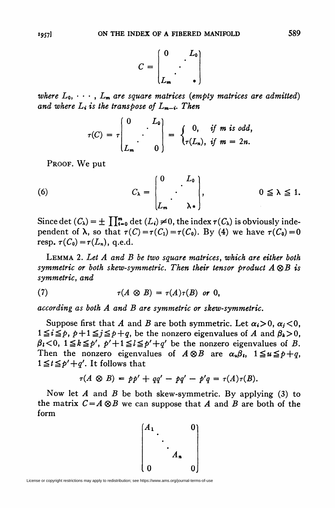$$
C = \begin{bmatrix} 0 & L_0 \\ \cdot & \cdot \\ L_m & \cdot \end{bmatrix}
$$

where  $L_0, \cdots, L_m$  are square matrices (empty matrices are admitted) and where  $L_i$  is the transpose of  $L_{m-i}$ . Then

$$
\tau(C) = \tau \begin{pmatrix} 0 & L_0 \\ \cdot & \cdot \\ L_m & 0 \end{pmatrix} = \begin{cases} 0, & \text{if } m \text{ is odd,} \\ \tau(L_n), & \text{if } m = 2n. \end{cases}
$$

PROOF. We put

(6) 
$$
C_{\lambda} = \begin{bmatrix} 0 & L_0 \\ \cdot & \cdot \\ L_m & \lambda \end{bmatrix}, \qquad \qquad 0 \leq \lambda \leq 1.
$$

Since det  $(C_{\lambda}) = \pm \prod_{i=0}^{m} \det(L_i) \neq 0$ , the index  $\tau(C_{\lambda})$  is obviously independent of  $\lambda$ , so that  $\tau(C) = \tau(C_1) = \tau(C_0)$ . By (4) we have  $\tau(C_0) = 0$ resp.  $\tau(C_0) = \tau(L_n)$ , q.e.d.

Lemma 2. Let A and B be two square matrices, which are either both symmetric or both skew-symmetric. Then their tensor product  $A \otimes B$  is symmetric, and

(7) 
$$
\tau(A \otimes B) = \tau(A)\tau(B) \text{ or } 0,
$$

according as both A and B are symmetric or skew-symmetric.

Suppose first that A and B are both symmetric. Let  $\alpha_i>0$ ,  $\alpha_i<0$ ,  $1 \leq i \leq p$ ,  $p + 1 \leq j \leq p+q$ , be the nonzero eigenvalues of A and  $\beta_k > 0$ ,  $\beta_i$ <0,  $1 \leq k \leq p'$ ,  $p' + 1 \leq l \leq p' + q'$  be the nonzero eigenvalues of B. Then the nonzero eigenvalues of  $A \otimes B$  are  $\alpha_u \beta_t$ ,  $1 \le u \le p+q$ ,  $1 \le t \le p' + q'$ . It follows that

$$
\tau(A\otimes B)=p p'+qq'-pq'-p'q=\tau(A)\tau(B).
$$

Now let A and B be both skew-symmetric. By applying  $(3)$  to the matrix  $C = A \otimes B$  we can suppose that A and B are both of the form

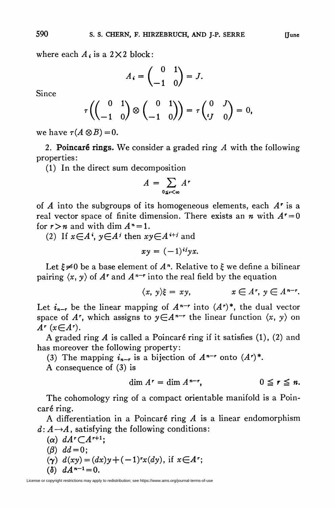where each  $A_i$  is a 2 $\times$ 2 block:

$$
A_i = \begin{pmatrix} 0 & 1 \\ -1 & 0 \end{pmatrix} = J.
$$

Since

$$
\tau\left(\begin{pmatrix}0&1\\-1&0\end{pmatrix}\otimes\begin{pmatrix}0&1\\-1&0\end{pmatrix}\right)=\tau\begin{pmatrix}0&J\\-I&0\end{pmatrix}=0,
$$

we have  $\tau(A \otimes B) = 0$ .

2. Poincaré rings. We consider a graded ring  $A$  with the following properties:

(1) In the direct sum decomposition

$$
A = \sum_{0 \leq r < \infty} A^r
$$

of  $A$  into the subgroups of its homogeneous elements, each  $A^r$  is a real vector space of finite dimension. There exists an *n* with  $A^r = 0$ for  $r > n$  and with dim  $A^n = 1$ .

(2) If  $x \in A^i$ ,  $y \in A^i$  then  $xy \in A^{i+j}$  and

 $xv = (-1)^{ij}vx.$ 

Let  $\xi \neq 0$  be a base element of  $A<sup>n</sup>$ . Relative to  $\xi$  we define a bilinear pairing  $\langle x, y \rangle$  of  $A^r$  and  $A^{n-r}$  into the real field by the equation

$$
\langle x, y \rangle \xi = xy, \qquad x \in A^r, y \in A^{n-r}.
$$

Let  $i_{n-r}$  be the linear mapping of  $A^{n-r}$  into  $(A^r)^*$ , the dual vector space of A<sup>r</sup>, which assigns to  $y \in A^{n-r}$  the linear function  $\langle x, y \rangle$  on  $A^r$  ( $x \in A^r$ ).

A graded ring A is called a Poincaré ring if it satisfies  $(1)$ ,  $(2)$  and has moreover the following property:

(3) The mapping  $i_{n-r}$  is a bijection of  $A^{n-r}$  onto  $(A^r)^*$ .

A consequence of (3) is

$$
\dim A^r = \dim A^{n-r}, \qquad \qquad 0 \leq r \leq n.
$$

The cohomology ring of a compact orientable manifold is a Poincaré ring.

A differentiation in a Poincaré ring  $A$  is a linear endomorphism  $d: A \rightarrow A$ , satisfying the following conditions:

\n- (
$$
\alpha
$$
)  $dA^r \subset A^{r+1}$ ;
\n- ( $\beta$ )  $dd = 0$ ;
\n- ( $\gamma$ )  $d(xy) = (dx)y + (-1)^r x(dy)$ , if  $x \in A^r$ ;
\n- ( $\delta$ )  $dA^{n-1} = 0$ .
\n

License or copyright restrictions may apply to redistribution; see https://www.ams.org/journal-terms-of-use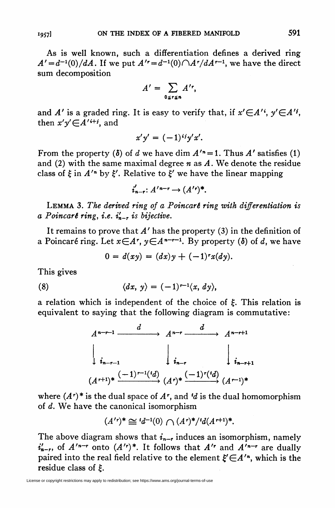As is well known, such a differentiation defines a derived ring  $A' = d^{-1}(0)/dA$ . If we put  $A' = d^{-1}(0)\bigcap A^r/dA^{r-1}$ , we have the direct sum decomposition

$$
A'=\sum_{0\leq r\leq n}A'^{r},
$$

and A' is a graded ring. It is easy to verify that, if  $x' \in A'$ ,  $y' \in A''$ , then  $x'y' \in A'^{i+j}$ , and

$$
x'y' = (-1)^{ij}y'x'.
$$

From the property ( $\delta$ ) of d we have dim  $A'^{n} = 1$ . Thus A' satisfies (1) and (2) with the same maximal degree  $n$  as  $A$ . We denote the residue class of  $\xi$  in  $A'^n$  by  $\xi'$ . Relative to  $\xi'$  we have the linear mapping

$$
i'_{n-r}: A'^{n-r} \to (A'^r)^*.
$$

LEMMA 3. The derived ring of a Poincart ring with differentiation is a Poincaré ring, i.e.  $i'_{n-r}$  is bijective.

It remains to prove that  $A'$  has the property (3) in the definition of a Poincaré ring. Let  $x \in A^r$ ,  $y \in A^{n-r-1}$ . By property (8) of d, we have

 $0 = d(xy) = (dx)y + (-1)^{r}x(dy).$ 

This gives

(8) 
$$
\langle dx, y \rangle = (-1)^{r-1} \langle x, dy \rangle,
$$

a relation which is independent of the choice of  $\xi$ . This relation is equivalent to saying that the following diagram is commutative:



where  $(A<sup>r</sup>)$ <sup>\*</sup> is the dual space of  $A<sup>r</sup>$ , and 'd is the dual homomorphism of d. We have the canonical isomorphism

$$
(A'^{r})^* \cong 'd^{-1}(0) \cap (A^{r})^*/^t d(A^{r+1})^*.
$$

The above diagram shows that  $i_{n-r}$  induces an isomorphism, namely  $i'_{n-r}$ , of  $A'^{n-r}$  onto  $(A'^{r})^*$ . It follows that  $A'^{r}$  and  $A'^{n-r}$  are dually paired into the real field relative to the element  $\xi \in A'^n$ , which is the residue class of £.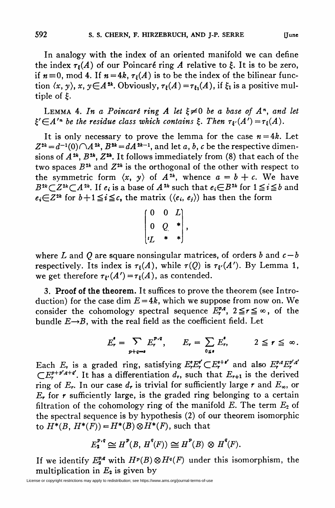In analogy with the index of an oriented manifold we can define the index  $\tau_{\xi}(A)$  of our Poincaré ring A relative to  $\xi$ . It is to be zero, if  $n=0$ , mod 4. If  $n=4k$ ,  $\tau_{\ell}(A)$  is to be the index of the bilinear function  $\langle x, y \rangle$ ,  $x, y \in A^{2k}$ . Obviously,  $\tau_t(A) = \tau_{t_1}(A)$ , if  $\xi_1$  is a positive multiple of £.

LEMMA 4. In a Poincaré ring A let  $\xi \neq 0$  be a base of  $A<sup>n</sup>$ , and let  $\xi' \in A'^n$  be the residue class which contains  $\xi$ . Then  $\tau_{\xi'}(A') = \tau_{\xi}(A)$ .

It is only necessary to prove the lemma for the case  $n=4k$ . Let  $Z^{2k} = d^{-1}(0) \bigcap A^{2k}$ ,  $B^{2k} = dA^{2k-1}$ , and let a, b, c be the respective dimensions of  $A^{2k}$ ,  $B^{2k}$ ,  $Z^{2k}$ . It follows immediately from (8) that each of the two spaces  $B^{2k}$  and  $Z^{2k}$  is the orthogonal of the other with respect to the symmetric form  $\langle x, y \rangle$  of  $A^{2k}$ , whence  $a = b + c$ . We have  $B^{2k} \subset Z^{2k} \subset A^{2k}$ . If  $e_i$  is a base of  $A^{2k}$  such that  $e_i \in B^{2k}$  for  $1 \le i \le b$  and  $e_i\in\mathbb{Z}^{2k}$  for  $b+1\leq i\leq c$ , the matrix  $(\langle e_i, e_j\rangle)$  has then the form

$$
\begin{pmatrix} 0 & 0 & L \\ 0 & Q & * \\ L & * & * \end{pmatrix},
$$

where L and Q are square nonsingular matrices, of orders b and  $c - b$ respectively. Its index is  $\tau_t(A)$ , while  $\tau(Q)$  is  $\tau_{t'}(A')$ . By Lemma 1, we get therefore  $\tau_{\ell}(A') = \tau_{\ell}(A)$ , as contended.

3. Proof of the theorem. It suffices to prove the theorem (see Introduction) for the case dim  $E = 4k$ , which we suppose from now on. We consider the cohomology spectral sequence  $E_r^{p,q}$ ,  $2 \le r \le \infty$ , of the bundle  $E\rightarrow B$ , with the real field as the coefficient field. Let

$$
E_r^{\bullet} = \sum_{p+q=s} E_r^{p,q}, \qquad E_r = \sum_{0 \leq s} E_r^{\bullet}, \qquad 2 \leq r \leq \infty.
$$

Each E<sub>r</sub> is a graded ring, satisfying  $E_r^iE_r^{e'}(E_r^{e+i'})$  and also  $E_r^{p,q}E_r^{p',q'}$  $\mathbb{C}E_r^{p+p',q+q'}$ . It has a differentiation  $d_r$ , such that  $E_{r+1}$  is the derived ring of  $E_r$ . In our case  $d_r$  is trivial for sufficiently large r and  $E_{\infty}$ , or  $E_r$  for r sufficiently large, is the graded ring belonging to a certain filtration of the cohomology ring of the manifold  $E$ . The term  $E_2$  of the spectral sequence is by hypothesis (2) of our theorem isomorphic to  $H^*(B, H^*(F)) = H^*(B) \otimes H^*(F)$ , such that

$$
E_2^{p,q} \cong H^p(B, H^q(F)) \cong H^p(B) \otimes H^q(F).
$$

If we identify  $E_2^{p,q}$  with  $H^p(B) \otimes H^q(F)$  under this isomorphism, the multiplication in  $E_2$  is given by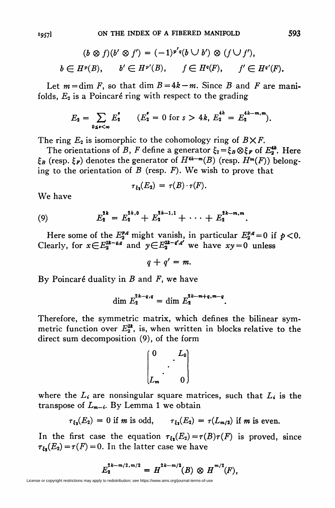$$
(b \otimes f)(b' \otimes f') = (-1)^{p'q}(b \cup b') \otimes (f \cup f'),
$$
  

$$
b \in H^p(B), \qquad b' \in H^{p'}(B), \qquad f \in H^q(F), \qquad f' \in H^{q'}(F).
$$

Let  $m = \dim F$ , so that dim  $B = 4k - m$ . Since B and F are manifolds,  $E_2$  is a Poincaré ring with respect to the grading

$$
E_2 = \sum_{0 \le s < \infty} E_2^s \qquad (E_2^s = 0 \text{ for } s > 4k, \ E_2^{4k} = E_2^{4k-m,m}).
$$

The ring  $E_2$  is isomorphic to the cohomology ring of  $B \times F$ .

The orientations of B, F define a generator  $\xi_2 = \xi_B \otimes \xi_F$  of  $E_2^{\mathcal{L}}$ . Here  $\xi_B$  (resp.  $\xi_F$ ) denotes the generator of  $H^{4k-m}(B)$  (resp.  $H^m(F)$ ) belonging to the orientation of  $B$  (resp.  $F$ ). We wish to prove that

$$
\tau_{\xi_2}(E_2) = \tau(B) \cdot \tau(F).
$$

We have

(9) 
$$
E_2^{2k} = E_2^{2k,0} + E_2^{2k-1,1} + \cdots + E_2^{2k-m,m}
$$

Here some of the  $E_2^{p,q}$  might vanish, in particular  $E_2^{p,q} = 0$  if  $p < 0$ . Clearly, for  $x \in E_2^{2k-q,q}$  and  $y \in E_2^{2k-q',q'}$  we have  $xy = 0$  unless

 $q + q' = m$ .

By Poincaré duality in  $B$  and  $F$ , we have

$$
\dim E_2^{2k-q,q} = \dim E_2^{2k-m+q,m-q}.
$$

Therefore, the symmetric matrix, which defines the bilinear symmetric function over  $E_2^{2k}$ , is, when written in blocks relative to the direct sum decomposition (9), of the form

$$
\begin{bmatrix} 0 & L_0 \\ \cdot & \cdot \\ L_m & 0 \end{bmatrix}
$$

where the  $L_i$  are nonsingular square matrices, such that  $L_i$  is the transpose of  $L_{m-i}$ . By Lemma 1 we obtain

$$
\tau_{\xi_2}(E_2) = 0 \text{ if } m \text{ is odd}, \qquad \tau_{\xi_2}(E_2) = \tau(L_{m/2}) \text{ if } m \text{ is even}.
$$

In the first case the equation  $\tau_{\xi_2}(E_2) = \tau(B)\tau(F)$  is proved, since  $\tau_{\xi_2}(E_2) = \tau(F) = 0$ . In the latter case we have

$$
E_2^{2k-m/2,m/2}=H^{2k-m/2}(B)\otimes H^{m/2}(F),
$$

License or copyright restrictions may apply to redistribution; see https://www.ams.org/journal-terms-of-use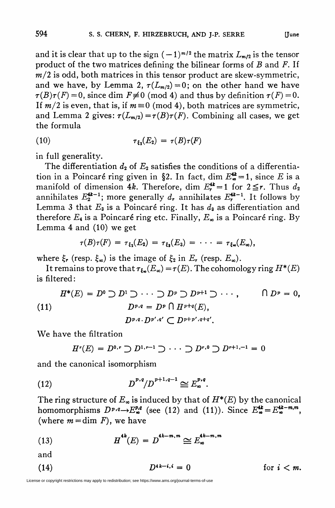and it is clear that up to the sign  $(-1)^{m/2}$  the matrix  $L_{m/2}$  is the tensor product of the two matrices defining the bilinear forms of  $B$  and  $F$ . If  $m/2$  is odd, both matrices in this tensor product are skew-symmetric, and we have, by Lemma 2,  $\tau(L_{m/2}) = 0$ ; on the other hand we have  $\tau(B)\tau(F) = 0$ , since dim  $F \neq 0$  (mod 4) and thus by definition  $\tau(F) = 0$ . If  $m/2$  is even, that is, if  $m = 0 \pmod{4}$ , both matrices are symmetric, and Lemma 2 gives:  $\tau(L_{m/2}) = \tau(B)\tau(F)$ . Combining all cases, we get the formula

$$
\tau_{\xi_2}(E_2) = \tau(B)\tau(F)
$$

in full generality.

The differentiation  $d_2$  of  $E_2$  satisfies the conditions of a differentiation in a Poincaré ring given in §2. In fact, dim  $E_{\infty}^{\mathbf{4}} = 1$ , since *E* is a manifold of dimension 4k. Therefore, dim  $E_r^{\text{4k}} = 1$  for  $2 \le r$ . Thus  $d_2$ annihilates  $E_2^{\mathbf{4k-1}}$ ; more generally  $d_r$  annihilates  $E^{4k-1}_r$ . It follows by Lemma 3 that  $E_3$  is a Poincaré ring. It has  $d_3$  as differentiation and therefore  $E_4$  is a Poincaré ring etc. Finally,  $E_{\infty}$  is a Poincaré ring. By Lemma 4 and (10) we get

$$
\tau(B)\tau(F) = \tau_{\xi_2}(E_2) = \tau_{\xi_3}(E_3) = \cdots = \tau_{\xi_{\infty}}(E_{\infty}),
$$

where  $\xi_r$  (resp.  $\xi_\infty$ ) is the image of  $\xi_2$  in  $E_r$  (resp.  $E_\infty$ ).

It remains to prove that  $\tau_{\xi_{\infty}}(E_{\infty}) = \tau(E)$ . The cohomology ring  $H^*(E)$ is filtered:

$$
H^*(E) = D^0 \supset D^1 \supset \cdots \supset D^p \supset D^{p+1} \supset \cdots, \qquad \bigcap D^p = 0,
$$
  
(11) 
$$
D^{p,q} = D^p \bigcap H^{p+q}(E),
$$

$$
D^{p,q} \cdot D^{p',q'} \subset D^{p+p',q+q'}.
$$

We have the filtration

$$
H^{r}(E) = D^{0,r} \supset D^{1,r-1} \supset \cdots \supset D^{r,0} \supset D^{r+1,-1} = 0
$$

and the canonical isomorphism

(12) 
$$
D^{p,q}/D^{p+1,q-1} \cong E^{p,q}_{\infty}.
$$

The ring structure of  $E_{\infty}$  is induced by that of  $H^*(E)$  by the canonical homomorphisms  $D^{p,q} \to E^{p,q}_{\infty}$  (see (12) and (11)). Since  $E^{4k}_{\infty} = E^{4k-m,m}_{\infty}$ . (where  $m = \dim F$ ), we have

(13) 
$$
H^{4k}(E) = D^{4k-m,m} \cong E^{4k-m,m}_{\infty}
$$

and

$$
(14) \t\t\t D4k-i,i = 0 \t\t for  $i < m$ .
$$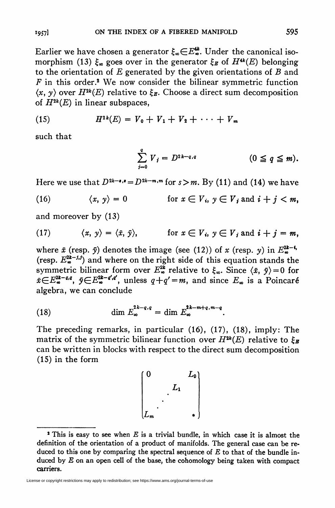Earlier we have chosen a generator  $\xi_{\infty} \in E_{\infty}^{4k}$ . Under the canonical isomorphism (13)  $\xi_{\infty}$  goes over in the generator  $\xi_{B}$  of  $H^{4k}(E)$  belonging to the orientation of  $E$  generated by the given orientations of  $B$  and  $F$  in this order.<sup>2</sup> We now consider the bilinear symmetric function  $\langle x, y \rangle$  over  $H^{2k}(E)$  relative to  $\xi_E$ . Choose a direct sum decomposition of  $H^{2k}(E)$  in linear subspaces,

(15) 
$$
H^{2k}(E) = V_0 + V_1 + V_2 + \cdots + V_m
$$

such that

$$
\sum_{j=0}^q V_j = D^{2k-q,q} \qquad (0 \leq q \leq m).
$$

Here we use that  $D^{2k-\epsilon,*} = D^{2k-m,m}$  for  $s > m$ . By (11) and (14) we have

(16) 
$$
\langle x, y \rangle = 0 \qquad \text{for } x \in V_i, y \in V_j \text{ and } i + j < m,
$$

and moreover by (13)

(17) 
$$
\langle x, y \rangle = \langle \tilde{x}, \tilde{y} \rangle
$$
, for  $x \in V_i$ ,  $y \in V_j$  and  $i + j = m$ ,

where  $\tilde{x}$  (resp.  $\tilde{y}$ ) denotes the image (see (12)) of x (resp. y) in  $E_{\infty}^{2k-4}$ . (resp.  $E_{\infty}^{2k-j,j}$ ) and where on the right side of this equation stands the symmetric bilinear form over  $E_{\infty}^{2k}$  relative to  $\xi_{\infty}$ . Since  $\langle \tilde{x}, \tilde{y} \rangle = 0$  for  $\tilde{x} \in E_{\infty}^{2k-q,q}$ ,  $\tilde{y} \in E_{\infty}^{2k-q',q'}$ , unless  $q+q'=m$ , and since  $E_{\infty}$  is a Poincaré algebra, we can conclude

(18) 
$$
\dim E_{\infty}^{2k-q,q} = \dim E_{\infty}^{2k-m+q,m-q}.
$$

The preceding remarks, in particular (16), (17), (18), imply: The matrix of the symmetric bilinear function over  $H^{2k}(E)$  relative to  $\xi_{\mathbf{B}}$ can be written in blocks with respect to the direct sum decomposition (15) in the form

$$
\begin{bmatrix} 0 & L_0 \\ \cdot & \cdot & \cdot \\ \cdot & \cdot & \cdot \\ L_m & \cdot & \cdot \end{bmatrix}
$$

License or copyright restrictions may apply to redistribution; see https://www.ams.org/journal-terms-of-use

 $2$  This is easy to see when  $E$  is a trivial bundle, in which case it is almost the definition of the orientation of a product of manifolds. The general case can be reduced to this one by comparing the spectral sequence of  $E$  to that of the bundle induced by  $E$  on an open cell of the base, the cohomology being taken with compact carriers.